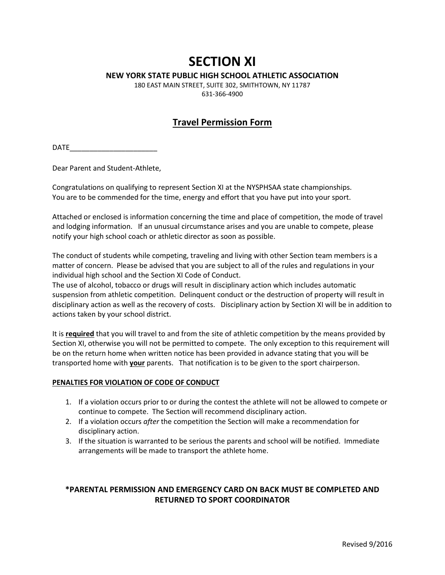# **SECTION XI**

#### **NEW YORK STATE PUBLIC HIGH SCHOOL ATHLETIC ASSOCIATION**

180 EAST MAIN STREET, SUITE 302, SMITHTOWN, NY 11787 631-366-4900

### **Travel Permission Form**

 $\mathsf{DATE}$  and  $\mathsf{DATE}$ 

Dear Parent and Student-Athlete,

Congratulations on qualifying to represent Section XI at the NYSPHSAA state championships. You are to be commended for the time, energy and effort that you have put into your sport.

Attached or enclosed is information concerning the time and place of competition, the mode of travel and lodging information. If an unusual circumstance arises and you are unable to compete, please notify your high school coach or athletic director as soon as possible.

The conduct of students while competing, traveling and living with other Section team members is a matter of concern. Please be advised that you are subject to all of the rules and regulations in your individual high school and the Section XI Code of Conduct.

The use of alcohol, tobacco or drugs will result in disciplinary action which includes automatic suspension from athletic competition. Delinquent conduct or the destruction of property will result in disciplinary action as well as the recovery of costs. Disciplinary action by Section XI will be in addition to actions taken by your school district.

It is **required** that you will travel to and from the site of athletic competition by the means provided by Section XI, otherwise you will not be permitted to compete. The only exception to this requirement will be on the return home when written notice has been provided in advance stating that you will be transported home with **your** parents. That notification is to be given to the sport chairperson.

#### **PENALTIES FOR VIOLATION OF CODE OF CONDUCT**

- 1. If a violation occurs prior to or during the contest the athlete will not be allowed to compete or continue to compete. The Section will recommend disciplinary action.
- 2. If a violation occurs *after* the competition the Section will make a recommendation for disciplinary action.
- 3. If the situation is warranted to be serious the parents and school will be notified. Immediate arrangements will be made to transport the athlete home.

#### **\*PARENTAL PERMISSION AND EMERGENCY CARD ON BACK MUST BE COMPLETED AND RETURNED TO SPORT COORDINATOR**